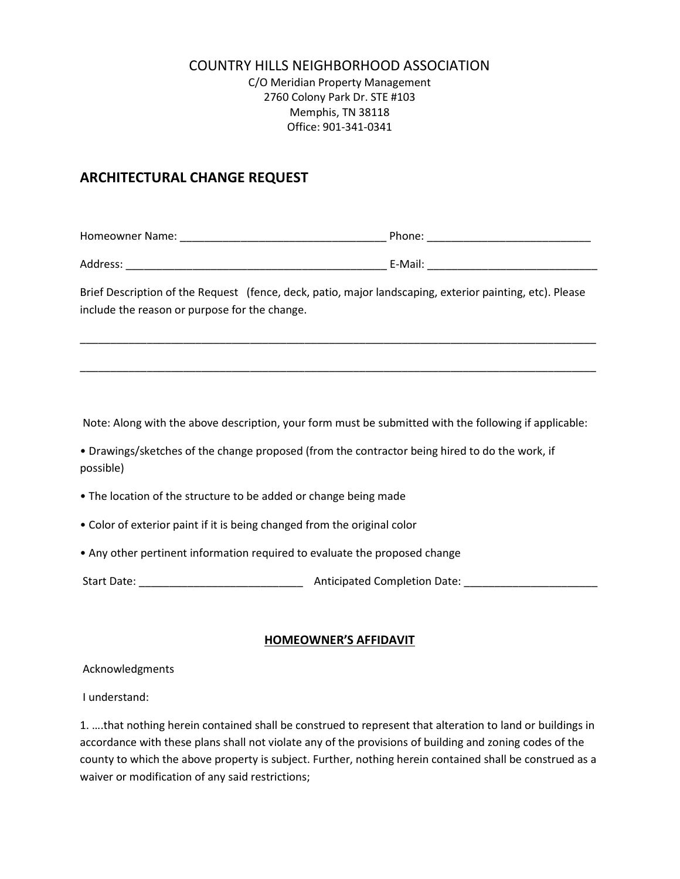## COUNTRY HILLS NEIGHBORHOOD ASSOCIATION

C/O Meridian Property Management 2760 Colony Park Dr. STE #103 Memphis, TN 38118 Office: 901-341-0341

## ARCHITECTURAL CHANGE REQUEST

Homeowner Name: \_\_\_\_\_\_\_\_\_\_\_\_\_\_\_\_\_\_\_\_\_\_\_\_\_\_\_\_\_\_\_\_\_\_ Phone: \_\_\_\_\_\_\_\_\_\_\_\_\_\_\_\_\_\_\_\_\_\_\_\_\_\_\_

Address: \_\_\_\_\_\_\_\_\_\_\_\_\_\_\_\_\_\_\_\_\_\_\_\_\_\_\_\_\_\_\_\_\_\_\_\_\_\_\_\_\_\_\_ E-Mail: \_\_\_\_\_\_\_\_\_\_\_\_\_\_\_\_\_\_\_\_\_\_\_\_\_\_\_\_

Brief Description of the Request (fence, deck, patio, major landscaping, exterior painting, etc). Please include the reason or purpose for the change.

\_\_\_\_\_\_\_\_\_\_\_\_\_\_\_\_\_\_\_\_\_\_\_\_\_\_\_\_\_\_\_\_\_\_\_\_\_\_\_\_\_\_\_\_\_\_\_\_\_\_\_\_\_\_\_\_\_\_\_\_\_\_\_\_\_\_\_\_\_\_\_\_\_\_\_\_\_\_\_\_\_\_\_\_\_

\_\_\_\_\_\_\_\_\_\_\_\_\_\_\_\_\_\_\_\_\_\_\_\_\_\_\_\_\_\_\_\_\_\_\_\_\_\_\_\_\_\_\_\_\_\_\_\_\_\_\_\_\_\_\_\_\_\_\_\_\_\_\_\_\_\_\_\_\_\_\_\_\_\_\_\_\_\_\_\_\_\_\_\_\_

Note: Along with the above description, your form must be submitted with the following if applicable:

• Drawings/sketches of the change proposed (from the contractor being hired to do the work, if possible)

• The location of the structure to be added or change being made

• Color of exterior paint if it is being changed from the original color

• Any other pertinent information required to evaluate the proposed change

Start Date: \_\_\_\_\_\_\_\_\_\_\_\_\_\_\_\_\_\_\_\_\_\_\_\_\_\_\_ Anticipated Completion Date: \_\_\_\_\_\_\_\_\_\_\_\_\_\_\_\_\_\_\_\_\_\_

## HOMEOWNER'S AFFIDAVIT

Acknowledgments

I understand:

1. ….that nothing herein contained shall be construed to represent that alteration to land or buildings in accordance with these plans shall not violate any of the provisions of building and zoning codes of the county to which the above property is subject. Further, nothing herein contained shall be construed as a waiver or modification of any said restrictions;